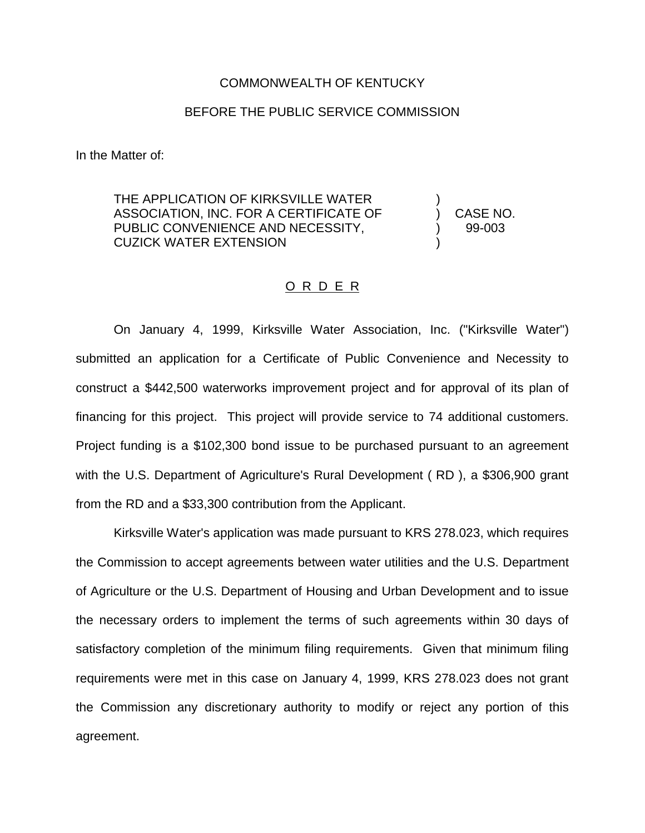## COMMONWEALTH OF KENTUCKY

## BEFORE THE PUBLIC SERVICE COMMISSION

In the Matter of:

THE APPLICATION OF KIRKSVILLE WATER ASSOCIATION, INC. FOR A CERTIFICATE OF ) CASE NO. PUBLIC CONVENIENCE AND NECESSITY,  $99-003$ CUZICK WATER EXTENSION )

## O R D E R

On January 4, 1999, Kirksville Water Association, Inc. ("Kirksville Water") submitted an application for a Certificate of Public Convenience and Necessity to construct a \$442,500 waterworks improvement project and for approval of its plan of financing for this project. This project will provide service to 74 additional customers. Project funding is a \$102,300 bond issue to be purchased pursuant to an agreement with the U.S. Department of Agriculture's Rural Development ( RD ), a \$306,900 grant from the RD and a \$33,300 contribution from the Applicant.

Kirksville Water's application was made pursuant to KRS 278.023, which requires the Commission to accept agreements between water utilities and the U.S. Department of Agriculture or the U.S. Department of Housing and Urban Development and to issue the necessary orders to implement the terms of such agreements within 30 days of satisfactory completion of the minimum filing requirements. Given that minimum filing requirements were met in this case on January 4, 1999, KRS 278.023 does not grant the Commission any discretionary authority to modify or reject any portion of this agreement.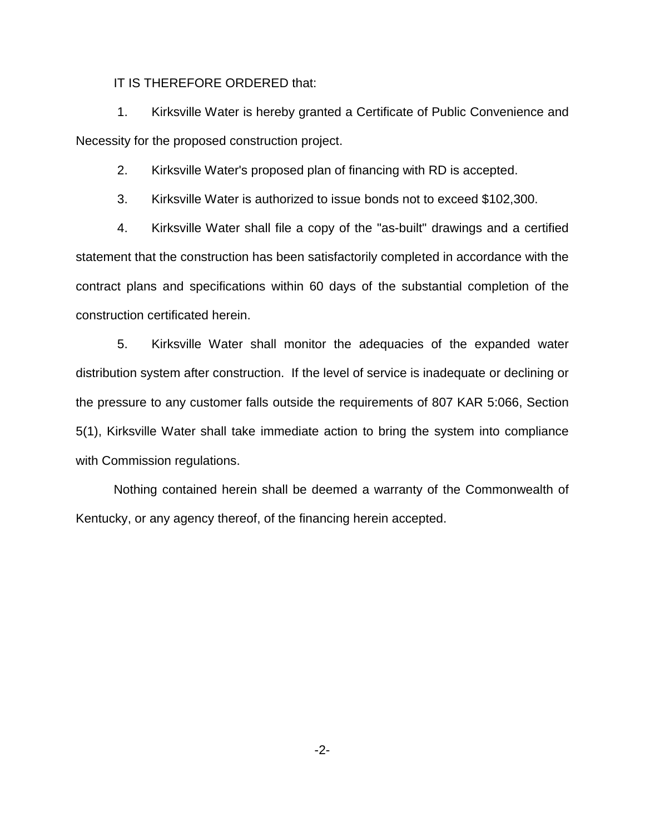## IT IS THEREFORE ORDERED that:

1. Kirksville Water is hereby granted a Certificate of Public Convenience and Necessity for the proposed construction project.

2. Kirksville Water's proposed plan of financing with RD is accepted.

3. Kirksville Water is authorized to issue bonds not to exceed \$102,300.

4. Kirksville Water shall file a copy of the "as-built" drawings and a certified statement that the construction has been satisfactorily completed in accordance with the contract plans and specifications within 60 days of the substantial completion of the construction certificated herein.

5. Kirksville Water shall monitor the adequacies of the expanded water distribution system after construction. If the level of service is inadequate or declining or the pressure to any customer falls outside the requirements of 807 KAR 5:066, Section 5(1), Kirksville Water shall take immediate action to bring the system into compliance with Commission regulations.

Nothing contained herein shall be deemed a warranty of the Commonwealth of Kentucky, or any agency thereof, of the financing herein accepted.